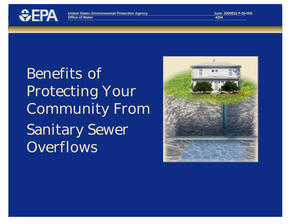

Benefits of Protecting Your Community From Sanitary Sewer **Overflows** 

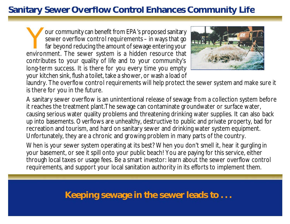# **Sanitary Sewer Overflow Control Enhances Community Life**

Your community can benefit from EPA's proposed sanitary<br>sewer overflow control requirements – in ways that go<br>far beyond reducing the amount of sewage entering your<br>environment. The sewer system is a hidden resource that our community can benefit from EPA's proposed sanitary sewer overflow control requirements – in ways that go far beyond reducing the amount of sewage entering your contributes to your quality of life and to your community's long-term success. It is there for you every time you empty your kitchen sink, flush a toilet, take a shower, or wash a load of



laundry. The overflow control requirements will help protect the sewer system and make sure it is there for you in the future.

A sanitary sewer overflow is an unintentional release of sewage from a collection system before it reaches the treatment plant.The sewage can contaminate groundwater or surface water, causing serious water quality problems and threatening drinking water supplies. It can also back up into basements. Overflows are unhealthy, destructive to public and private property, bad for recreation and tourism, and hard on sanitary sewer and drinking water system equipment. Unfortunately, they are a chronic and growing problem in many parts of the country.

When is your sewer system operating at its best? When you don't smell it, hear it gurgling in your basement, or see it spill onto your public beach! You are paying for this service, either through local taxes or usage fees. Be a smart investor: learn about the sewer overflow control requirements, and support your local sanitation authority in its efforts to implement them.

**Keeping sewage in the sewer leads to . . .**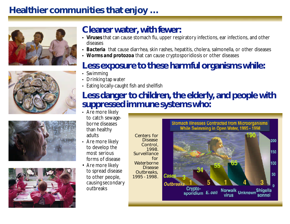# **Healthier communities that enjoy …**









# **Cleaner water, with fewer:**

- *• Viruses* that can cause stomach flu, upper respiratory infections, ear infections, and other diseases
- *Bacteria* that cause diarrhea, skin rashes, hepatitis, cholera, salmonella, or other diseases
- *• Worms and protozoa* that can cause cryptosporidiosis or other diseases

### **Less exposure to these harmful organisms while:**

- Swimming
- Drinking tap water
- Eating locally-caught fish and shellfish

# **Less danger to children, the elderly, and people with suppressed immune systems who:**

- Are more likely to catch sewageborne diseases than healthy adults
- Are more likely to develop the most serious forms of disease
- Are more likely to spread disease to other people, causing secondary outbreaks

Centers for Disease Control, 1998. *Surveillance Waterborne Disease Outbreaks, 1995 - 1998*.

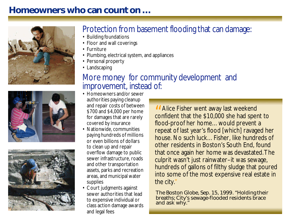# **Homeowners who can count on …**







# Protection from basement flooding that can damage:

- Building foundations
- Floor and wall coverings
- Furniture
- Plumbing, electrical system, and appliances
- Personal property
- Landscaping

# More money for community development and improvement, instead of:

- Homeowners and/or sewer authorities paying cleanup and repair costs of between \$700 and \$4,000 per home for damages that are rarely covered by insurance
- Nationwide, communities paying hundreds of millions or even billions of dollars to clean up and repair overflow damage to public sewer infrastructure, roads and other transportation assets, parks and recreation areas, and municipal water supplies
- Court judgments against sewer authorities that lead to expensive individual or class action damage awards and legal fees

II Alice Fisher went away last weekend<br>confident that the \$10,000 she had spent to **II** Alice Fisher went away last weekend flood-proof her home…would prevent a repeat of last year's flood [which] ravaged her house. No such luck…Fisher, like hundreds of other residents in Boston's South End, found that once again her home was devastated. The culprit wasn't just rainwater–it was sewage, hundreds of gallons of filthy sludge that poured into some of the most expensive real estate in the city."

The Boston Globe, Sep. 15, 1999*.* "Holding their breaths; City's sewage-flooded residents brace and ask why."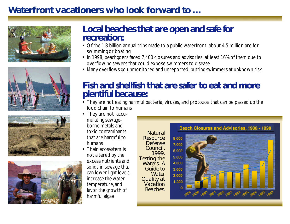# **Waterfront vacationers who look forward to …**









#### **Local beaches that are open and safe for recreation:**

- Of the 1.8 billion annual trips made to a public waterfront, about 4.5 million are for swimming or boating
- In 1998, beachgoers faced 7,400 closures and advisories, at least 16% of them due to overflowing sewers that could expose swimmers to disease
- Many overflows go unmonitored and unreported, putting swimmers at unknown risk

### **Fish and shellfish that are safer to eat and more plentiful because:**

- They are not eating harmful bacteria, viruses, and protozoa that can be passed up the food chain to humans
- They are not accumulating sewageborne metals and toxic contaminants that are harmful to humans
- Their ecosystem is not altered by the excess nutrients and solids in sewage that can lower light levels, increase the water temperature, and favor the growth of harmful algae

Natural **Resource** Defense Council, 1999*. Testing the Waters: A Guide to Water Quality at Vacation Beaches.*

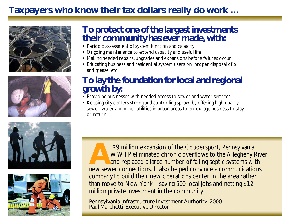# **Taxpayers who know their tax dollars really do work …**









### **To protect one of the largest investments their community has ever made, with:**

- Periodic assessment of system function and capacity
- Ongoing maintenance to extend capacity and useful life
- Making needed repairs, upgrades and expansions before failures occur
- Educating business and residential system users on proper disposal of oil and grease, etc.

### **To lay the foundation for local and regional growth by:**

- Providing businesses with needed access to sewer and water services
- Keeping city centers strong and controlling sprawl by offering high-quality sewer, water and other utilities in urban areas to encourage business to stay or return

<sup>\$9</sup> million expansion of the Coudersport, Pennsylvania<br>WWTP eliminated chronic overflows to the Allegheny Riv<br>and replaced a large number of failing septic systems with<br>new sewer connections. It also helped convince a com \$9 million expansion of the Coudersport, Pennsylvania WWTP eliminated chronic overflows to the Allegheny River and replaced a large number of failing septic systems with company to build their new operations center in the area rather than move to New York—saving 500 local jobs and netting \$12 million private investment in the community.

Pennsylvania Infrastructure Investment Authority*,* 2000. Paul Marchetti, Executive Director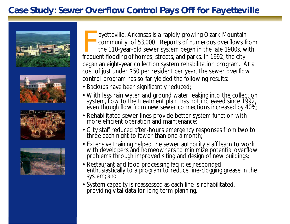# **Case Study: Sewer Overflow Control Pays Off for Fayetteville**









Fayetteville, Arkansas is a rapidly-growing Ozark Mountair<br>community of 53,000. Reports of numerous overflows<br>the 110-year-old sewer system began in the late 1980s, v<br>frequent flooding of homes, streets, and parks. In 1992 ayetteville, Arkansas is a rapidly-growing Ozark Mountain community of 53,000. Reports of numerous overflows from the 110-year-old sewer system began in the late 1980s, with began an eight-year collection system rehabilitation program. At a cost of just under \$50 per resident per year, the sewer overflow control program has so far yielded the following results:

- Backups have been significantly reduced;
- With less rain water and ground water leaking into the collection system, flow to the treatment plant has not increased since 1992, even though flow from new sewer connections increased by 40%;
- Rehabilitated sewer lines provide better system function with more efficient operation and maintenance;
- City staff reduced after-hours emergency responses from two to thrée each night to fewer than one a month;
- Extensive training helped the sewer authority staff learn to work with developers and homeowners to minimize potential overflow problems through improved siting and design of new buildings;
- Restaurant and food processing facilities responded enthusiastically to a program to reduce line-clogging grease in the system; and
- System capacity is reassessed as each line is rehabilitated, providing vital data for long-term planning.